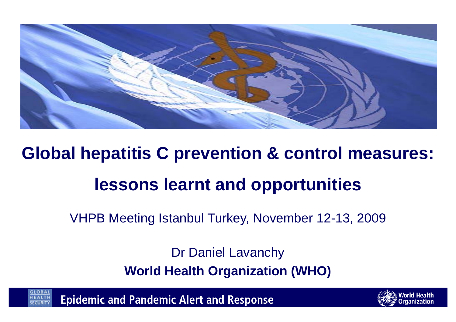

### **Global hepatitis C prevention & control measures: lessons learnt and opportunities**

VHPB Meeting Istanbul Turkey, November 12-13, 2009

Dr Daniel Lavanchy **World Health Organization (WHO)** 



**Epidemic and Pandemic Alert and Response** 

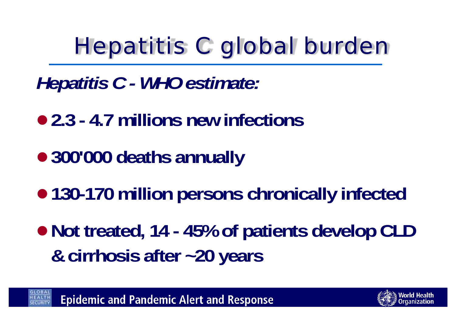# *Hepatitis C global burden*

*Hepatitis C - WHO estimate:* 

- <sup>z</sup>**2.3 - 4.7 millions new infections**
- <sup>z</sup>**300'000 deaths annually**
- $\bullet$  **130-170 million persons chronically infected**
- Not treated, 14 45% of patients develop CLD **& cirrhosis after ~20 years**

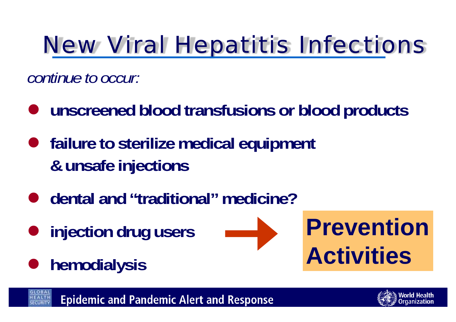# *New Viral Hepatitis Infections*

*continue to occur:*

- $\bullet$ **unscreened blood transfusions or blood products**
- **•** failure to sterilize medical equipment **& unsafe injections**
- dental and "traditional" medicine?
- $\bullet$ **injection drug users**
- **•** hemodialysis







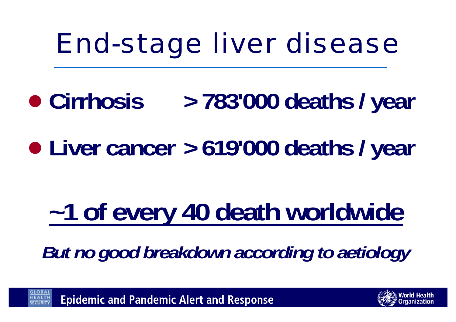# *End-stage liver disease*

- Cirrhosis **Cirrhosis > 783'000 deaths / year**
- $\bullet$ **Liver cancer > 619'000 deaths / year**

# **~1 of every 40 death worldwide**

*But no good breakdown according to aetiology*



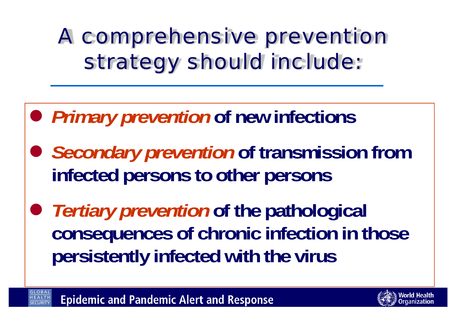*A comprehensive prevention strategy should include:*

- z *Primary prevention* **of new infections**
- **Secondary prevention of transmission from infected persons to other persons**
- *Tertiary prevention* **of the pathological consequences of chronic infection in those persistently infected with the virus**

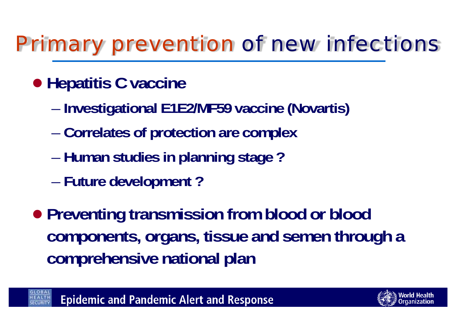### *Primary prevention of new infections*

#### **• Hepatitis C vaccine**

- –**Investigational E1E2/MF59 vaccine (Novartis)**
- –**Correlates of protection are complex**
- –**Human studies in planning stage ?**
- –**Future development ?**
- **Preventing transmission from blood or blood components, organs, tissue and semen through a comprehensive national plan**



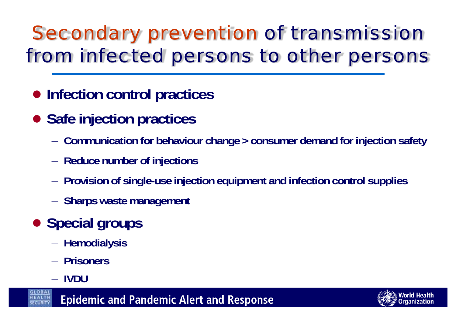### *Secondary prevention of transmission from infected persons to other persons*

- $\bullet$  **Infection control practices**
- **Safe injection practices** 
	- –**Communication for behaviour change > consumer demand for injection safety**
	- –**Reduce number of injections**
	- –**Provision of single-use injection equipment and infection control supplies**
	- –**Sharps waste management**
- **Special groups** 
	- –**Hemodialysis**
	- **Prisoners**
	- **IVDU**

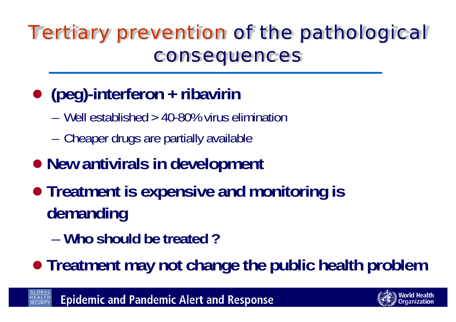#### *Tertiary prevention of the pathological consequences*

#### $\bullet$ **(peg)-interferon + ribavirin**

- Well established > 40-80% virus elimination
- –Cheaper drugs are partially available

#### **• New antivirals in development**

- **Treatment is expensive and monitoring is demanding**
	- **Who should be treated ?**

**• Treatment may not change the public health problem** 

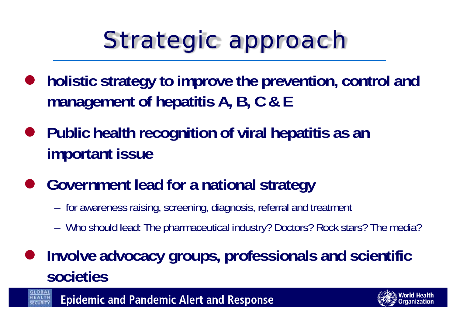# *Strategic approach*

- $\bullet$  **holistic strategy to improve the prevention, control and management of hepatitis A, B, C & E**
- **•** Public health recognition of viral hepatitis as an **important issue**
- $\bullet$  **Government lead for a national strategy** 
	- –for awareness raising, screening, diagnosis, referral and treatment
	- –Who should lead: The pharmaceutical industry? Doctors? Rock stars? The media?
- $\bullet$  **Involve advocacy groups, professionals and scientific societies**

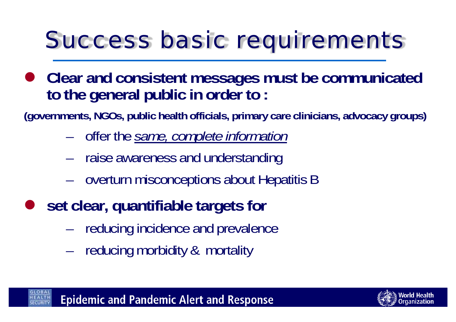# *Success basic requirements*

**• Clear and consistent messages must be communicated to the general public in order to :** 

**(governments, NGOs, public health officials, primary care clinicians, advocacy groups)**

- –offer the *same, complete information*
- –raise awareness and understanding
- –overturn misconceptions about Hepatitis B
- $\bullet$  **set clear, quantifiable targets for** 
	- –reducing incidence and prevalence
	- –reducing morbidity & mortality

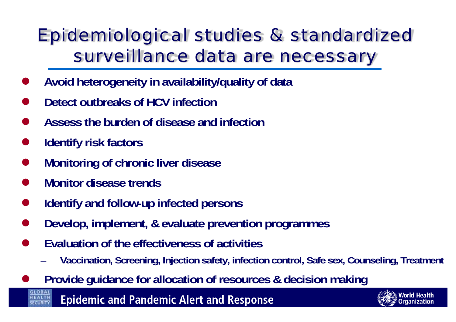#### *Epidemiological studies & standardized surveillance data are necessary*

- $\bullet$ **Avoid heterogeneity in availability/quality of data**
- $\bullet$ **Detect outbreaks of HCV infection**
- $\bullet$ **Assess the burden of disease and infection**
- $\bullet$ **Identify risk factors**
- $\bullet$ **Monitoring of chronic liver disease**
- $\bullet$ **Monitor disease trends**
- $\bullet$ **Identify and follow-up infected persons**
- $\bullet$ **Develop, implement, & evaluate prevention programmes**
- $\bullet$  **Evaluation of the effectiveness of activities**
	- –**Vaccination, Screening, Injection safety, infection control, Safe sex, Counseling, Treatment**
- $\bullet$ **Provide guidance for allocation of resources & decision making**

**Epidemic and Pandemic Alert and Response** 

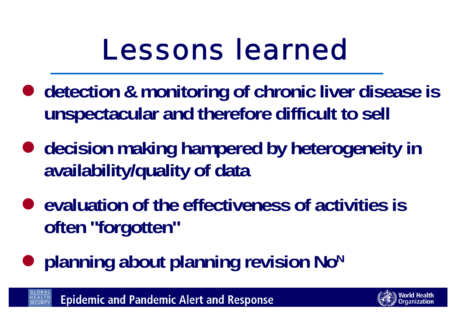# *Lessons learned*

- **detection & monitoring of chronic liver disease is unspectacular and therefore difficult to sell**
- **decision making hampered by heterogeneity in availability/quality of data**
- evaluation of the effectiveness of activities is **often "forgotten"**
- $\bullet$ **planning about planning revision NoN**

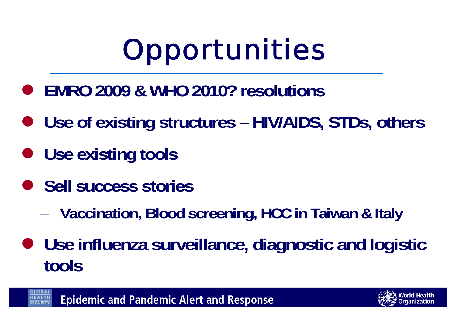# *Opportunities*

- z **EMRO 2009 & WHO 2010? resolutions**
- z **Use of existing structures – HIV/AIDS, STDs, others**
- **Use existing tools**
- **Sell success stories** 
	- –**Vaccination, Blood screening, HCC in Taiwan & Italy**
- **Use influenza surveillance, diagnostic and logistic tools**

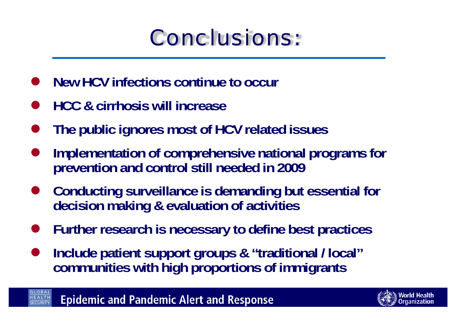### *Conclusions:*

- $\bullet$ **New HCV infections continue to occur**
- $\bullet$ **HCC & cirrhosis will increase**
- $\bullet$ **The public ignores most of HCV related issues**
- $\bullet$  **Implementation of comprehensive national programs for prevention and control still needed in 2009**
- $\bullet$  **Conducting surveillance is demanding but essential for decision making & evaluation of activities**
- $\bullet$ **Further research is necessary to define best practices**
- $\bullet$  **Include patient support groups & "traditional / local" communities with high proportions of immigrants**